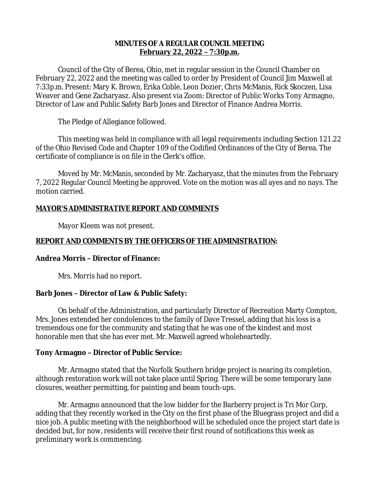## **MINUTES OF A REGULAR COUNCIL MEETING February 22, 2022 – 7:30p.m.**

Council of the City of Berea, Ohio, met in regular session in the Council Chamber on February 22, 2022 and the meeting was called to order by President of Council Jim Maxwell at 7:33p.m. Present: Mary K. Brown, Erika Coble, Leon Dozier, Chris McManis, Rick Skoczen, Lisa Weaver and Gene Zacharyasz. Also present via Zoom: Director of Public Works Tony Armagno, Director of Law and Public Safety Barb Jones and Director of Finance Andrea Morris.

The Pledge of Allegiance followed.

This meeting was held in compliance with all legal requirements including Section 121.22 of the Ohio Revised Code and Chapter 109 of the Codified Ordinances of the City of Berea. The certificate of compliance is on file in the Clerk's office.

Moved by Mr. McManis, seconded by Mr. Zacharyasz, that the minutes from the February 7, 2022 Regular Council Meeting be approved. Vote on the motion was all ayes and no nays. The motion carried.

## **MAYOR'S ADMINISTRATIVE REPORT AND COMMENTS**

Mayor Kleem was not present.

# **REPORT AND COMMENTS BY THE OFFICERS OF THE ADMINISTRATION:**

## **Andrea Morris – Director of Finance:**

Mrs. Morris had no report.

## **Barb Jones – Director of Law & Public Safety:**

On behalf of the Administration, and particularly Director of Recreation Marty Compton, Mrs. Jones extended her condolences to the family of Dave Tressel, adding that his loss is a tremendous one for the community and stating that he was one of the kindest and most honorable men that she has ever met. Mr. Maxwell agreed wholeheartedly.

## **Tony Armagno – Director of Public Service:**

Mr. Armagno stated that the Norfolk Southern bridge project is nearing its completion, although restoration work will not take place until Spring. There will be some temporary lane closures, weather permitting, for painting and beam touch-ups.

Mr. Armagno announced that the low bidder for the Barberry project is Tri Mor Corp, adding that they recently worked in the City on the first phase of the Bluegrass project and did a nice job. A public meeting with the neighborhood will be scheduled once the project start date is decided but, for now, residents will receive their first round of notifications this week as preliminary work is commencing.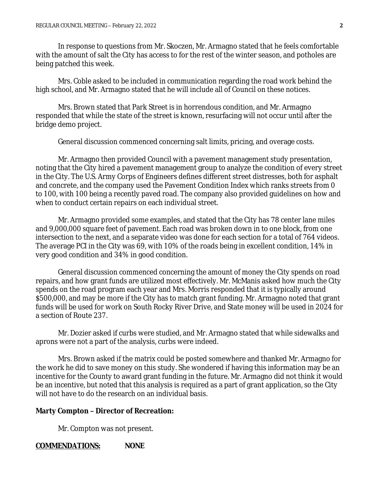In response to questions from Mr. Skoczen, Mr. Armagno stated that he feels comfortable with the amount of salt the City has access to for the rest of the winter season, and potholes are being patched this week.

Mrs. Coble asked to be included in communication regarding the road work behind the high school, and Mr. Armagno stated that he will include all of Council on these notices.

Mrs. Brown stated that Park Street is in horrendous condition, and Mr. Armagno responded that while the state of the street is known, resurfacing will not occur until after the bridge demo project.

General discussion commenced concerning salt limits, pricing, and overage costs.

Mr. Armagno then provided Council with a pavement management study presentation, noting that the City hired a pavement management group to analyze the condition of every street in the City. The U.S. Army Corps of Engineers defines different street distresses, both for asphalt and concrete, and the company used the Pavement Condition Index which ranks streets from 0 to 100, with 100 being a recently paved road. The company also provided guidelines on how and when to conduct certain repairs on each individual street.

Mr. Armagno provided some examples, and stated that the City has 78 center lane miles and 9,000,000 square feet of pavement. Each road was broken down in to one block, from one intersection to the next, and a separate video was done for each section for a total of 764 videos. The average PCI in the City was 69, with 10% of the roads being in excellent condition, 14% in very good condition and 34% in good condition.

General discussion commenced concerning the amount of money the City spends on road repairs, and how grant funds are utilized most effectively. Mr. McManis asked how much the City spends on the road program each year and Mrs. Morris responded that it is typically around \$500,000, and may be more if the City has to match grant funding. Mr. Armagno noted that grant funds will be used for work on South Rocky River Drive, and State money will be used in 2024 for a section of Route 237.

Mr. Dozier asked if curbs were studied, and Mr. Armagno stated that while sidewalks and aprons were not a part of the analysis, curbs were indeed.

Mrs. Brown asked if the matrix could be posted somewhere and thanked Mr. Armagno for the work he did to save money on this study. She wondered if having this information may be an incentive for the County to award grant funding in the future. Mr. Armagno did not think it would be an incentive, but noted that this analysis is required as a part of grant application, so the City will not have to do the research on an individual basis.

#### **Marty Compton – Director of Recreation:**

Mr. Compton was not present.

#### **COMMENDATIONS: NONE**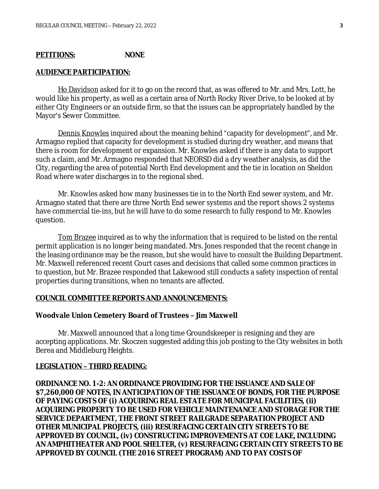### **PETITIONS: NONE**

#### **AUDIENCE PARTICIPATION:**

Ho Davidson asked for it to go on the record that, as was offered to Mr. and Mrs. Lott, he would like his property, as well as a certain area of North Rocky River Drive, to be looked at by either City Engineers or an outside firm, so that the issues can be appropriately handled by the Mayor's Sewer Committee.

Dennis Knowles inquired about the meaning behind "capacity for development", and Mr. Armagno replied that capacity for development is studied during dry weather, and means that there is room for development or expansion. Mr. Knowles asked if there is any data to support such a claim, and Mr. Armagno responded that NEORSD did a dry weather analysis, as did the City, regarding the area of potential North End development and the tie in location on Sheldon Road where water discharges in to the regional shed.

Mr. Knowles asked how many businesses tie in to the North End sewer system, and Mr. Armagno stated that there are three North End sewer systems and the report shows 2 systems have commercial tie-ins, but he will have to do some research to fully respond to Mr. Knowles question.

Tom Brazee inquired as to why the information that is required to be listed on the rental permit application is no longer being mandated. Mrs. Jones responded that the recent change in the leasing ordinance may be the reason, but she would have to consult the Building Department. Mr. Maxwell referenced recent Court cases and decisions that called some common practices in to question, but Mr. Brazee responded that Lakewood still conducts a safety inspection of rental properties during transitions, when no tenants are affected.

#### **COUNCIL COMMITTEE REPORTS AND ANNOUNCEMENTS:**

#### **Woodvale Union Cemetery Board of Trustees – Jim Maxwell**

Mr. Maxwell announced that a long time Groundskeeper is resigning and they are accepting applications. Mr. Skoczen suggested adding this job posting to the City websites in both Berea and Middleburg Heights.

#### **LEGISLATION – THIRD READING:**

**ORDINANCE NO. 1-2: AN ORDINANCE PROVIDING FOR THE ISSUANCE AND SALE OF \$7,260,000 OF NOTES, IN ANTICIPATION OF THE ISSUANCE OF BONDS, FOR THE PURPOSE OF PAYING COSTS OF (i) ACQUIRING REAL ESTATE FOR MUNICIPAL FACILITIES, (ii) ACQUIRING PROPERTY TO BE USED FOR VEHICLE MAINTENANCE AND STORAGE FOR THE SERVICE DEPARTMENT, THE FRONT STREET RAILGRADE SEPARATION PROJECT AND OTHER MUNICIPAL PROJECTS, (iii) RESURFACING CERTAIN CITY STREETS TO BE APPROVED BY COUNCIL, (iv) CONSTRUCTING IMPROVEMENTS AT COE LAKE, INCLUDING AN AMPHITHEATER AND POOL SHELTER, (v) RESURFACING CERTAIN CITY STREETS TO BE APPROVED BY COUNCIL (THE 2016 STREET PROGRAM) AND TO PAY COSTS OF**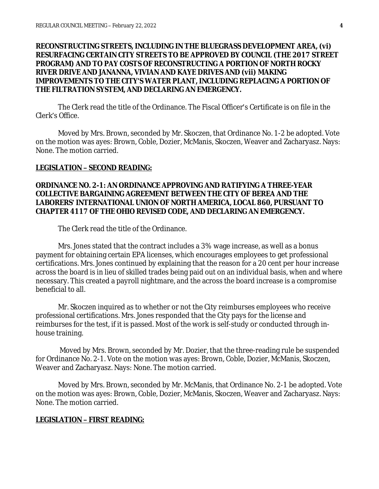### **RECONSTRUCTING STREETS, INCLUDING IN THE BLUEGRASS DEVELOPMENT AREA, (vi) RESURFACING CERTAIN CITY STREETS TO BE APPROVED BY COUNCIL (THE 2017 STREET PROGRAM) AND TO PAY COSTS OF RECONSTRUCTING A PORTION OF NORTH ROCKY RIVER DRIVE AND JANANNA, VIVIAN AND KAYE DRIVES AND (vii) MAKING IMPROVEMENTS TO THE CITY'S WATER PLANT, INCLUDING REPLACING A PORTION OF THE FILTRATION SYSTEM, AND DECLARING AN EMERGENCY.**

The Clerk read the title of the Ordinance. The Fiscal Officer's Certificate is on file in the Clerk's Office.

Moved by Mrs. Brown, seconded by Mr. Skoczen, that Ordinance No. 1-2 be adopted. Vote on the motion was ayes: Brown, Coble, Dozier, McManis, Skoczen, Weaver and Zacharyasz. Nays: None. The motion carried.

#### **LEGISLATION – SECOND READING:**

### **ORDINANCE NO. 2-1: AN ORDINANCE APPROVING AND RATIFYING A THREE-YEAR COLLECTIVE BARGAINING AGREEMENT BETWEEN THE CITY OF BEREA AND THE LABORERS' INTERNATIONAL UNION OF NORTH AMERICA, LOCAL 860, PURSUANT TO CHAPTER 4117 OF THE OHIO REVISED CODE, AND DECLARING AN EMERGENCY.**

The Clerk read the title of the Ordinance.

Mrs. Jones stated that the contract includes a 3% wage increase, as well as a bonus payment for obtaining certain EPA licenses, which encourages employees to get professional certifications. Mrs. Jones continued by explaining that the reason for a 20 cent per hour increase across the board is in lieu of skilled trades being paid out on an individual basis, when and where necessary. This created a payroll nightmare, and the across the board increase is a compromise beneficial to all.

Mr. Skoczen inquired as to whether or not the City reimburses employees who receive professional certifications. Mrs. Jones responded that the City pays for the license and reimburses for the test, if it is passed. Most of the work is self-study or conducted through inhouse training.

Moved by Mrs. Brown, seconded by Mr. Dozier, that the three-reading rule be suspended for Ordinance No. 2-1. Vote on the motion was ayes: Brown, Coble, Dozier, McManis, Skoczen, Weaver and Zacharyasz. Nays: None. The motion carried.

Moved by Mrs. Brown, seconded by Mr. McManis, that Ordinance No. 2-1 be adopted. Vote on the motion was ayes: Brown, Coble, Dozier, McManis, Skoczen, Weaver and Zacharyasz. Nays: None. The motion carried.

### **LEGISLATION – FIRST READING:**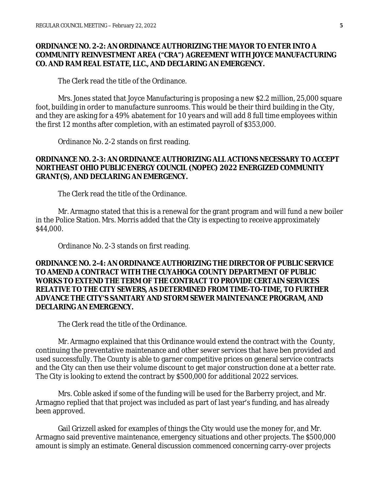### **ORDINANCE NO. 2-2: AN ORDINANCE AUTHORIZING THE MAYOR TO ENTER INTO A COMMUNITY REINVESTMENT AREA ("CRA") AGREEMENT WITH JOYCE MANUFACTURING CO. AND RAM REAL ESTATE, LLC., AND DECLARING AN EMERGENCY.**

The Clerk read the title of the Ordinance.

Mrs. Jones stated that Joyce Manufacturing is proposing a new \$2.2 million, 25,000 square foot, building in order to manufacture sunrooms. This would be their third building in the City, and they are asking for a 49% abatement for 10 years and will add 8 full time employees within the first 12 months after completion, with an estimated payroll of \$353,000.

Ordinance No. 2-2 stands on first reading.

### **ORDINANCE NO. 2-3: AN ORDINANCE AUTHORIZING ALL ACTIONS NECESSARY TO ACCEPT NORTHEAST OHIO PUBLIC ENERGY COUNCIL (NOPEC) 2022 ENERGIZED COMMUNITY GRANT(S), AND DECLARING AN EMERGENCY.**

The Clerk read the title of the Ordinance.

Mr. Armagno stated that this is a renewal for the grant program and will fund a new boiler in the Police Station. Mrs. Morris added that the City is expecting to receive approximately \$44,000.

Ordinance No. 2-3 stands on first reading.

### **ORDINANCE NO. 2-4: AN ORDINANCE AUTHORIZING THE DIRECTOR OF PUBLIC SERVICE TO AMEND A CONTRACT WITH THE CUYAHOGA COUNTY DEPARTMENT OF PUBLIC WORKS TO EXTEND THE TERM OF THE CONTRACT TO PROVIDE CERTAIN SERVICES RELATIVE TO THE CITY SEWERS, AS DETERMINED FROM TIME-TO-TIME, TO FURTHER ADVANCE THE CITY'S SANITARY AND STORM SEWER MAINTENANCE PROGRAM, AND DECLARING AN EMERGENCY.**

The Clerk read the title of the Ordinance.

Mr. Armagno explained that this Ordinance would extend the contract with the County, continuing the preventative maintenance and other sewer services that have ben provided and used successfully. The County is able to garner competitive prices on general service contracts and the City can then use their volume discount to get major construction done at a better rate. The City is looking to extend the contract by \$500,000 for additional 2022 services.

Mrs. Coble asked if some of the funding will be used for the Barberry project, and Mr. Armagno replied that that project was included as part of last year's funding, and has already been approved.

Gail Grizzell asked for examples of things the City would use the money for, and Mr. Armagno said preventive maintenance, emergency situations and other projects. The \$500,000 amount is simply an estimate. General discussion commenced concerning carry-over projects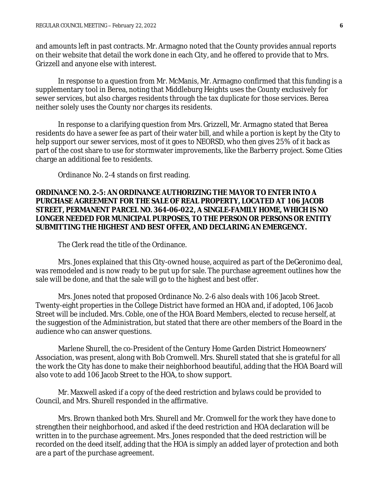and amounts left in past contracts. Mr. Armagno noted that the County provides annual reports on their website that detail the work done in each City, and he offered to provide that to Mrs. Grizzell and anyone else with interest.

In response to a question from Mr. McManis, Mr. Armagno confirmed that this funding is a supplementary tool in Berea, noting that Middleburg Heights uses the County exclusively for sewer services, but also charges residents through the tax duplicate for those services. Berea neither solely uses the County nor charges its residents.

In response to a clarifying question from Mrs. Grizzell, Mr. Armagno stated that Berea residents do have a sewer fee as part of their water bill, and while a portion is kept by the City to help support our sewer services, most of it goes to NEORSD, who then gives 25% of it back as part of the cost share to use for stormwater improvements, like the Barberry project. Some Cities charge an additional fee to residents.

Ordinance No. 2-4 stands on first reading.

## **ORDINANCE NO. 2-5: AN ORDINANCE AUTHORIZING THE MAYOR TO ENTER INTO A PURCHASE AGREEMENT FOR THE SALE OF REAL PROPERTY, LOCATED AT 106 JACOB STREET, PERMANENT PARCEL NO. 364-06-022, A SINGLE-FAMILY HOME, WHICH IS NO LONGER NEEDED FOR MUNICIPAL PURPOSES, TO THE PERSON OR PERSONS OR ENTITY SUBMITTING THE HIGHEST AND BEST OFFER, AND DECLARING AN EMERGENCY.**

The Clerk read the title of the Ordinance.

Mrs. Jones explained that this City-owned house, acquired as part of the DeGeronimo deal, was remodeled and is now ready to be put up for sale. The purchase agreement outlines how the sale will be done, and that the sale will go to the highest and best offer.

Mrs. Jones noted that proposed Ordinance No. 2-6 also deals with 106 Jacob Street. Twenty-eight properties in the College District have formed an HOA and, if adopted, 106 Jacob Street will be included. Mrs. Coble, one of the HOA Board Members, elected to recuse herself, at the suggestion of the Administration, but stated that there are other members of the Board in the audience who can answer questions.

Marlene Shurell, the co-President of the Century Home Garden District Homeowners' Association, was present, along with Bob Cromwell. Mrs. Shurell stated that she is grateful for all the work the City has done to make their neighborhood beautiful, adding that the HOA Board will also vote to add 106 Jacob Street to the HOA, to show support.

Mr. Maxwell asked if a copy of the deed restriction and bylaws could be provided to Council, and Mrs. Shurell responded in the affirmative.

Mrs. Brown thanked both Mrs. Shurell and Mr. Cromwell for the work they have done to strengthen their neighborhood, and asked if the deed restriction and HOA declaration will be written in to the purchase agreement. Mrs. Jones responded that the deed restriction will be recorded on the deed itself, adding that the HOA is simply an added layer of protection and both are a part of the purchase agreement.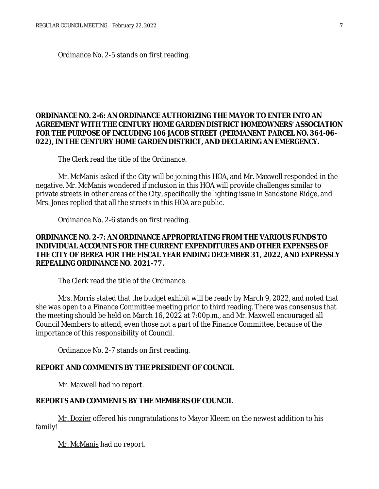Ordinance No. 2-5 stands on first reading.

## **ORDINANCE NO. 2-6: AN ORDINANCE AUTHORIZING THE MAYOR TO ENTER INTO AN AGREEMENT WITH THE CENTURY HOME GARDEN DISTRICT HOMEOWNERS' ASSOCIATION FOR THE PURPOSE OF INCLUDING 106 JACOB STREET (PERMANENT PARCEL NO. 364-06- 022), IN THE CENTURY HOME GARDEN DISTRICT, AND DECLARING AN EMERGENCY.**

The Clerk read the title of the Ordinance.

Mr. McManis asked if the City will be joining this HOA, and Mr. Maxwell responded in the negative. Mr. McManis wondered if inclusion in this HOA will provide challenges similar to private streets in other areas of the City, specifically the lighting issue in Sandstone Ridge, and Mrs. Jones replied that all the streets in this HOA are public.

Ordinance No. 2-6 stands on first reading.

### **ORDINANCE NO. 2-7: AN ORDINANCE APPROPRIATING FROM THE VARIOUS FUNDS TO INDIVIDUAL ACCOUNTS FOR THE CURRENT EXPENDITURES AND OTHER EXPENSES OF THE CITY OF BEREA FOR THE FISCAL YEAR ENDING DECEMBER 31, 2022, AND EXPRESSLY REPEALING ORDINANCE NO. 2021-77.**

The Clerk read the title of the Ordinance.

Mrs. Morris stated that the budget exhibit will be ready by March 9, 2022, and noted that she was open to a Finance Committee meeting prior to third reading. There was consensus that the meeting should be held on March 16, 2022 at 7:00p.m., and Mr. Maxwell encouraged all Council Members to attend, even those not a part of the Finance Committee, because of the importance of this responsibility of Council.

Ordinance No. 2-7 stands on first reading.

#### **REPORT AND COMMENTS BY THE PRESIDENT OF COUNCIL**

Mr. Maxwell had no report.

#### **REPORTS AND COMMENTS BY THE MEMBERS OF COUNCIL**

Mr. Dozier offered his congratulations to Mayor Kleem on the newest addition to his family!

Mr. McManis had no report.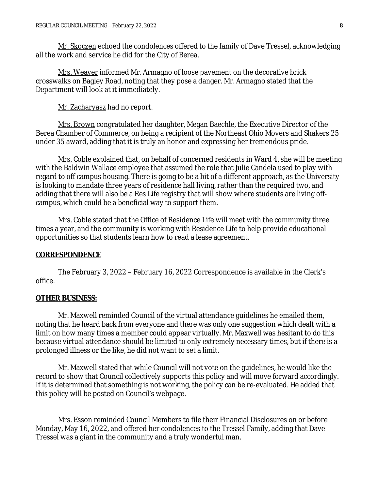Mr. Skoczen echoed the condolences offered to the family of Dave Tressel, acknowledging all the work and service he did for the City of Berea.

Mrs. Weaver informed Mr. Armagno of loose pavement on the decorative brick crosswalks on Bagley Road, noting that they pose a danger. Mr. Armagno stated that the Department will look at it immediately.

Mr. Zacharyasz had no report.

Mrs. Brown congratulated her daughter, Megan Baechle, the Executive Director of the Berea Chamber of Commerce, on being a recipient of the Northeast Ohio Movers and Shakers 25 under 35 award, adding that it is truly an honor and expressing her tremendous pride.

Mrs. Coble explained that, on behalf of concerned residents in Ward 4, she will be meeting with the Baldwin Wallace employee that assumed the role that Julie Candela used to play with regard to off campus housing. There is going to be a bit of a different approach, as the University is looking to mandate three years of residence hall living, rather than the required two, and adding that there will also be a Res Life registry that will show where students are living offcampus, which could be a beneficial way to support them.

Mrs. Coble stated that the Office of Residence Life will meet with the community three times a year, and the community is working with Residence Life to help provide educational opportunities so that students learn how to read a lease agreement.

#### **CORRESPONDENCE**

The February 3, 2022 – February 16, 2022 Correspondence is available in the Clerk's office.

#### **OTHER BUSINESS:**

Mr. Maxwell reminded Council of the virtual attendance guidelines he emailed them, noting that he heard back from everyone and there was only one suggestion which dealt with a limit on how many times a member could appear virtually. Mr. Maxwell was hesitant to do this because virtual attendance should be limited to only extremely necessary times, but if there is a prolonged illness or the like, he did not want to set a limit.

Mr. Maxwell stated that while Council will not vote on the guidelines, he would like the record to show that Council collectively supports this policy and will move forward accordingly. If it is determined that something is not working, the policy can be re-evaluated. He added that this policy will be posted on Council's webpage.

Mrs. Esson reminded Council Members to file their Financial Disclosures on or before Monday, May 16, 2022, and offered her condolences to the Tressel Family, adding that Dave Tressel was a giant in the community and a truly wonderful man.